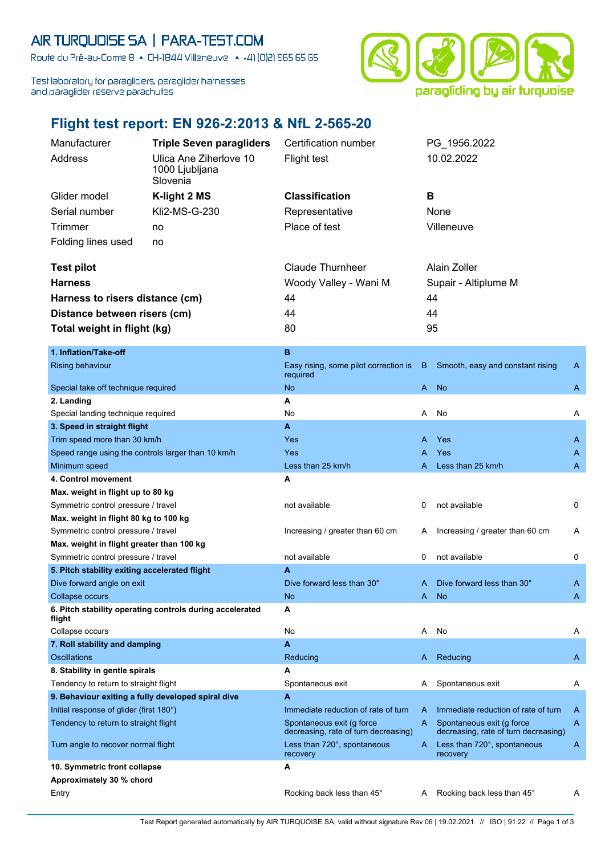## AIR TURQUOISE SA | PARA-TEST.COM

Route du Pré-au-Comte 8 & CH-1844 Villeneuve | 4 +41 (0)21 965 65 65

Test laboratory for paragliders, paraglider harnesses and paraglider reserve parachutes



## **Flight test report: EN 926-2:2013 & NfL 2-565-20**

| Manufacturer                                       | <b>Triple Seven paragliders</b>                          | Certification number                                              |    | PG_1956.2022                                                      |   |
|----------------------------------------------------|----------------------------------------------------------|-------------------------------------------------------------------|----|-------------------------------------------------------------------|---|
| Address                                            | Ulica Ane Ziherlove 10                                   | <b>Flight test</b>                                                |    | 10.02.2022                                                        |   |
|                                                    | 1000 Ljubljana                                           |                                                                   |    |                                                                   |   |
|                                                    | Slovenia                                                 |                                                                   |    |                                                                   |   |
| Glider model                                       | K-light 2 MS                                             | <b>Classification</b>                                             | B  |                                                                   |   |
| Serial number                                      | Kli2-MS-G-230                                            | Representative                                                    |    | None                                                              |   |
| <b>Trimmer</b>                                     | no                                                       | Place of test                                                     |    | Villeneuve                                                        |   |
| Folding lines used                                 | no                                                       |                                                                   |    |                                                                   |   |
|                                                    |                                                          |                                                                   |    |                                                                   |   |
| <b>Test pilot</b>                                  |                                                          | <b>Claude Thurnheer</b>                                           |    | Alain Zoller                                                      |   |
| <b>Harness</b>                                     |                                                          | Woody Valley - Wani M                                             |    | Supair - Altiplume M                                              |   |
| Harness to risers distance (cm)                    |                                                          | 44                                                                |    | 44                                                                |   |
|                                                    |                                                          | 44                                                                |    | 44                                                                |   |
| Distance between risers (cm)                       |                                                          |                                                                   |    |                                                                   |   |
| Total weight in flight (kg)                        |                                                          | 80                                                                | 95 |                                                                   |   |
| 1. Inflation/Take-off                              |                                                          | B                                                                 |    |                                                                   |   |
| <b>Rising behaviour</b>                            |                                                          | Easy rising, some pilot correction is                             | B  | Smooth, easy and constant rising                                  | A |
|                                                    |                                                          | required                                                          |    |                                                                   |   |
| Special take off technique required                |                                                          | <b>No</b>                                                         | A  | <b>No</b>                                                         | A |
| 2. Landing                                         |                                                          | A                                                                 |    |                                                                   |   |
| Special landing technique required                 |                                                          | No                                                                | A  | No                                                                | Α |
| 3. Speed in straight flight                        |                                                          | $\overline{\mathbf{A}}$                                           |    |                                                                   |   |
| Trim speed more than 30 km/h                       |                                                          | <b>Yes</b>                                                        | A  | Yes                                                               | A |
| Speed range using the controls larger than 10 km/h |                                                          | Yes                                                               | Α  | Yes                                                               | A |
| Minimum speed                                      |                                                          | Less than 25 km/h                                                 | A  | Less than 25 km/h                                                 | A |
|                                                    |                                                          |                                                                   |    |                                                                   |   |
| 4. Control movement                                |                                                          | A                                                                 |    |                                                                   |   |
| Max. weight in flight up to 80 kg                  |                                                          |                                                                   |    |                                                                   |   |
| Symmetric control pressure / travel                |                                                          | not available                                                     | 0  | not available                                                     | 0 |
| Max. weight in flight 80 kg to 100 kg              |                                                          |                                                                   |    |                                                                   |   |
| Symmetric control pressure / travel                |                                                          | Increasing / greater than 60 cm                                   | A  | Increasing / greater than 60 cm                                   | A |
| Max. weight in flight greater than 100 kg          |                                                          |                                                                   |    |                                                                   |   |
| Symmetric control pressure / travel                |                                                          | not available                                                     | 0  | not available                                                     | 0 |
| 5. Pitch stability exiting accelerated flight      |                                                          | A                                                                 |    |                                                                   |   |
| Dive forward angle on exit                         |                                                          | Dive forward less than 30°                                        | A  | Dive forward less than 30°                                        | A |
| Collapse occurs                                    |                                                          | <b>No</b>                                                         |    | A No                                                              | A |
| flight                                             | 6. Pitch stability operating controls during accelerated | A                                                                 |    |                                                                   |   |
| Collapse occurs                                    |                                                          | No                                                                | Α  | No                                                                | Α |
| 7. Roll stability and damping                      |                                                          | A                                                                 |    |                                                                   |   |
| <b>Oscillations</b>                                |                                                          | Reducing                                                          | A  | Reducing                                                          | A |
| 8. Stability in gentle spirals                     |                                                          | A                                                                 |    |                                                                   |   |
| Tendency to return to straight flight              |                                                          | Spontaneous exit                                                  | A  | Spontaneous exit                                                  | A |
| 9. Behaviour exiting a fully developed spiral dive |                                                          | A                                                                 |    |                                                                   |   |
| Initial response of glider (first 180°)            |                                                          | Immediate reduction of rate of turn                               | A  | Immediate reduction of rate of turn                               | A |
| Tendency to return to straight flight              |                                                          | Spontaneous exit (g force<br>decreasing, rate of turn decreasing) | A  | Spontaneous exit (g force<br>decreasing, rate of turn decreasing) | A |
| Turn angle to recover normal flight                |                                                          | Less than 720°, spontaneous<br>recovery                           | A. | Less than 720°, spontaneous<br>recovery                           | A |
| 10. Symmetric front collapse                       |                                                          | A                                                                 |    |                                                                   |   |
| Approximately 30 % chord                           |                                                          |                                                                   |    |                                                                   |   |
| Entry                                              |                                                          | Rocking back less than 45°                                        | A  | Rocking back less than 45°                                        | Α |

Test Report generated automatically by AIR TURQUOISE SA, valid without signature Rev 06 | 19.02.2021 // ISO | 91.22 // Page 1 of 3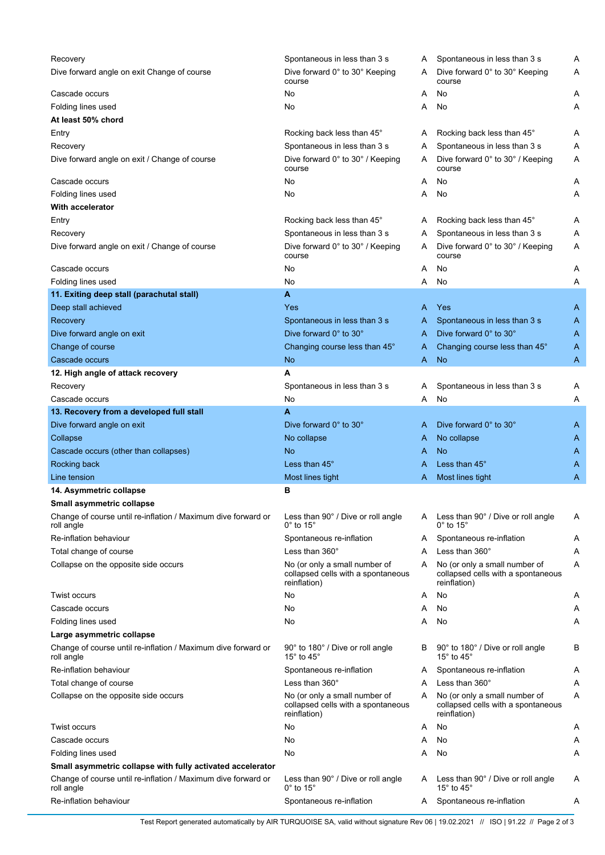| Recovery                                                                    | Spontaneous in less than 3 s                                                        | Α | Spontaneous in less than 3 s                                                        | Α |
|-----------------------------------------------------------------------------|-------------------------------------------------------------------------------------|---|-------------------------------------------------------------------------------------|---|
| Dive forward angle on exit Change of course                                 | Dive forward 0° to 30° Keeping<br>course                                            | A | Dive forward 0° to 30° Keeping<br>course                                            | Α |
| Cascade occurs                                                              | No                                                                                  | Α | No                                                                                  | Α |
| Folding lines used                                                          | No                                                                                  | Α | No                                                                                  | Α |
| At least 50% chord                                                          |                                                                                     |   |                                                                                     |   |
| Entry                                                                       | Rocking back less than 45°                                                          | A | Rocking back less than 45°                                                          | Α |
| Recovery                                                                    | Spontaneous in less than 3 s                                                        | Α | Spontaneous in less than 3 s                                                        | Α |
| Dive forward angle on exit / Change of course                               | Dive forward 0° to 30° / Keeping<br>course                                          | A | Dive forward 0° to 30° / Keeping<br>course                                          | Α |
| Cascade occurs                                                              | No                                                                                  | Α | No                                                                                  | A |
| Folding lines used                                                          | No                                                                                  | Α | No                                                                                  | Α |
| <b>With accelerator</b>                                                     |                                                                                     |   |                                                                                     |   |
| Entry                                                                       | Rocking back less than 45°                                                          | A | Rocking back less than 45°                                                          | Α |
| Recovery                                                                    | Spontaneous in less than 3 s                                                        | Α | Spontaneous in less than 3 s                                                        | Α |
| Dive forward angle on exit / Change of course                               | Dive forward 0° to 30° / Keeping<br>course                                          | A | Dive forward 0° to 30° / Keeping<br>course                                          | Α |
| Cascade occurs                                                              | No                                                                                  | Α | No                                                                                  | Α |
| Folding lines used                                                          | No                                                                                  | Α | No                                                                                  | Α |
| 11. Exiting deep stall (parachutal stall)                                   | A                                                                                   |   |                                                                                     |   |
|                                                                             |                                                                                     |   |                                                                                     |   |
| Deep stall achieved                                                         | Yes                                                                                 | A | Yes                                                                                 | A |
| Recovery                                                                    | Spontaneous in less than 3 s                                                        | A | Spontaneous in less than 3 s                                                        | A |
| Dive forward angle on exit                                                  | Dive forward 0° to 30°                                                              | A | Dive forward 0° to 30°                                                              | A |
| Change of course                                                            | Changing course less than 45°                                                       | A | Changing course less than 45°                                                       | A |
| Cascade occurs                                                              | <b>No</b>                                                                           | Α | <b>No</b>                                                                           | A |
| 12. High angle of attack recovery                                           | A                                                                                   |   |                                                                                     |   |
| Recovery                                                                    | Spontaneous in less than 3 s                                                        | Α | Spontaneous in less than 3 s                                                        | Α |
| Cascade occurs                                                              | No                                                                                  | Α | No                                                                                  | Α |
| 13. Recovery from a developed full stall                                    | A                                                                                   |   |                                                                                     |   |
| Dive forward angle on exit                                                  | Dive forward 0° to 30°                                                              | A | Dive forward 0° to 30°                                                              | A |
| Collapse                                                                    | No collapse                                                                         | A | No collapse                                                                         | A |
| Cascade occurs (other than collapses)                                       | <b>No</b>                                                                           | A | <b>No</b>                                                                           | A |
| Rocking back                                                                | Less than 45°                                                                       | A | Less than 45°                                                                       | A |
| Line tension                                                                | Most lines tight                                                                    | A | Most lines tight                                                                    | Α |
| 14. Asymmetric collapse                                                     | в                                                                                   |   |                                                                                     |   |
| Small asymmetric collapse                                                   |                                                                                     |   |                                                                                     |   |
| Change of course until re-inflation / Maximum dive forward or<br>roll angle | Less than 90° / Dive or roll angle<br>$0^\circ$ to 15 $^\circ$                      | A | Less than 90° / Dive or roll angle<br>$0^\circ$ to 15 $^\circ$                      | Α |
| Re-inflation behaviour                                                      | Spontaneous re-inflation                                                            | A | Spontaneous re-inflation                                                            | Α |
| Total change of course                                                      | Less than $360^\circ$                                                               | Α | Less than 360°                                                                      | Α |
| Collapse on the opposite side occurs                                        | No (or only a small number of<br>collapsed cells with a spontaneous<br>reinflation) | A | No (or only a small number of<br>collapsed cells with a spontaneous<br>reinflation) | Α |
| Twist occurs                                                                | No                                                                                  | Α | No                                                                                  | A |
| Cascade occurs                                                              | No                                                                                  | Α | No                                                                                  | A |
| Folding lines used                                                          | No                                                                                  | Α | No                                                                                  | Α |
| Large asymmetric collapse                                                   |                                                                                     |   |                                                                                     |   |
| Change of course until re-inflation / Maximum dive forward or<br>roll angle | 90° to 180° / Dive or roll angle<br>15° to 45°                                      | B | 90° to 180° / Dive or roll angle<br>15° to 45°                                      | В |
| Re-inflation behaviour                                                      | Spontaneous re-inflation                                                            | A | Spontaneous re-inflation                                                            | A |
| Total change of course                                                      | Less than 360°                                                                      | Α | Less than 360°                                                                      | Α |
| Collapse on the opposite side occurs                                        | No (or only a small number of                                                       | A | No (or only a small number of                                                       | Α |
|                                                                             | collapsed cells with a spontaneous<br>reinflation)                                  |   | collapsed cells with a spontaneous<br>reinflation)                                  |   |
| Twist occurs                                                                | No                                                                                  | Α | No                                                                                  | A |
| Cascade occurs                                                              | No                                                                                  | Α | No                                                                                  | A |
| Folding lines used                                                          | No                                                                                  | Α | No                                                                                  | Α |
| Small asymmetric collapse with fully activated accelerator                  |                                                                                     |   |                                                                                     |   |
| Change of course until re-inflation / Maximum dive forward or<br>roll angle | Less than 90° / Dive or roll angle<br>$0^\circ$ to 15 $^\circ$                      | A | Less than 90° / Dive or roll angle<br>15 $\degree$ to 45 $\degree$                  | Α |
| Re-inflation behaviour                                                      | Spontaneous re-inflation                                                            | A | Spontaneous re-inflation                                                            | A |